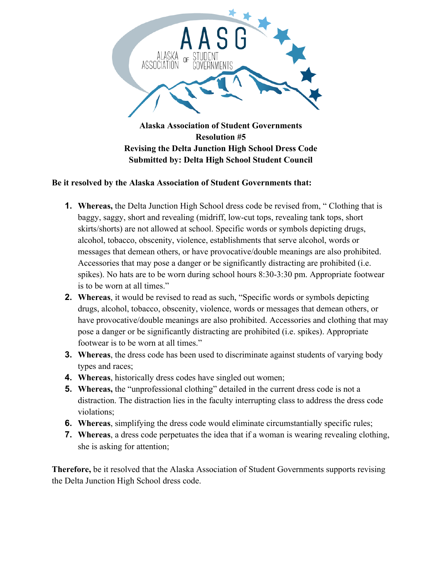

## **Submitted by: Delta High School Student Council**

## **Be it resolved by the Alaska Association of Student Governments that:**

- **1. Whereas,** the Delta Junction High School dress code be revised from, " Clothing that is baggy, saggy, short and revealing (midriff, low-cut tops, revealing tank tops, short skirts/shorts) are not allowed at school. Specific words or symbols depicting drugs, alcohol, tobacco, obscenity, violence, establishments that serve alcohol, words or messages that demean others, or have provocative/double meanings are also prohibited. Accessories that may pose a danger or be significantly distracting are prohibited (i.e. spikes). No hats are to be worn during school hours 8:30-3:30 pm. Appropriate footwear is to be worn at all times."
- **2. Whereas**, it would be revised to read as such, "Specific words or symbols depicting drugs, alcohol, tobacco, obscenity, violence, words or messages that demean others, or have provocative/double meanings are also prohibited. Accessories and clothing that may pose a danger or be significantly distracting are prohibited (i.e. spikes). Appropriate footwear is to be worn at all times."
- **3. Whereas**, the dress code has been used to discriminate against students of varying body types and races;
- **4. Whereas**, historically dress codes have singled out women;
- **5. Whereas,** the "unprofessional clothing" detailed in the current dress code is not a distraction. The distraction lies in the faculty interrupting class to address the dress code violations;
- **6. Whereas**, simplifying the dress code would eliminate circumstantially specific rules;
- **7. Whereas**, a dress code perpetuates the idea that if a woman is wearing revealing clothing, she is asking for attention;

**Therefore,** be it resolved that the Alaska Association of Student Governments supports revising the Delta Junction High School dress code.